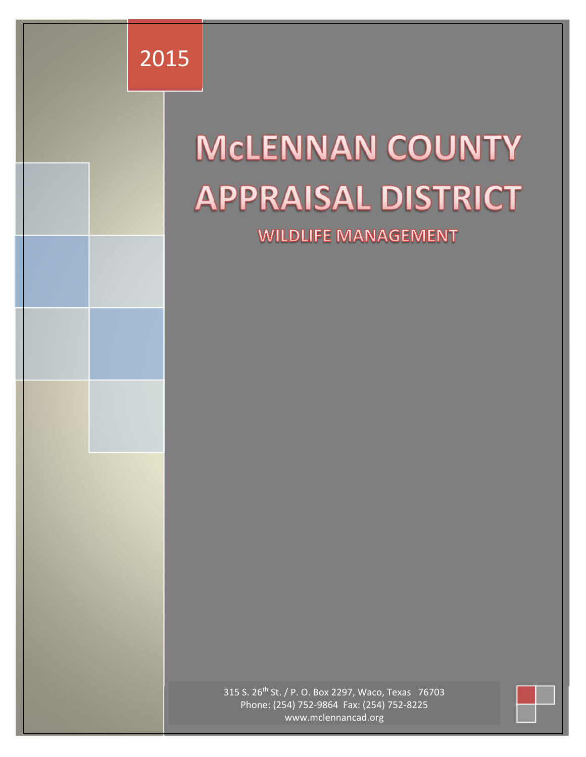

an da baile a chuid ann an

# **MCLENNAN COUNTY APPRAISAL DISTRICT**

**WILDLIFE MANAGEMENT** 

315 S. 26th St. / P. O. Box 2297, Waco, Texas 76703 Phone: (254) 752‐9864 Fax: (254) 752‐8225 www.mclennancad.org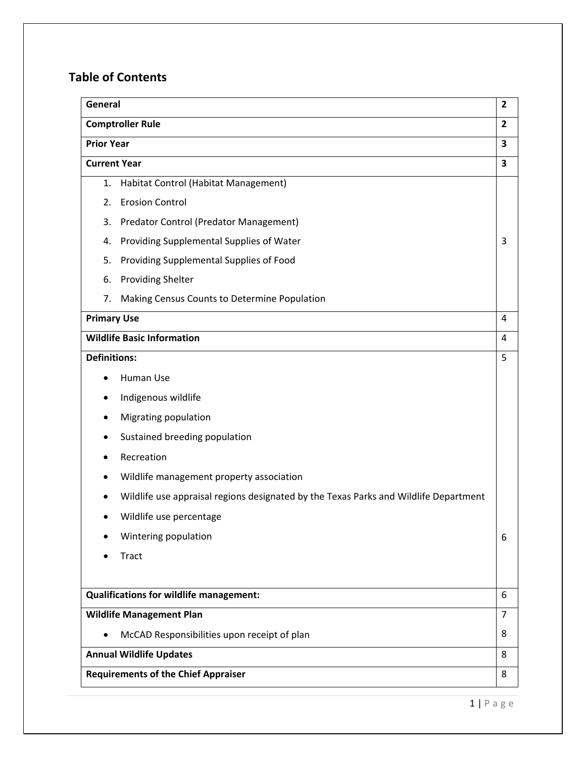# **Table of Contents**

| General                                                                              | $\overline{2}$ |
|--------------------------------------------------------------------------------------|----------------|
| <b>Comptroller Rule</b>                                                              | $\overline{2}$ |
| <b>Prior Year</b>                                                                    | 3              |
| <b>Current Year</b>                                                                  | 3              |
| Habitat Control (Habitat Management)<br>1.                                           |                |
| <b>Erosion Control</b><br>2.                                                         |                |
| Predator Control (Predator Management)<br>3.                                         |                |
| Providing Supplemental Supplies of Water<br>4.                                       | 3              |
| Providing Supplemental Supplies of Food<br>5.                                        |                |
| <b>Providing Shelter</b><br>6.                                                       |                |
| Making Census Counts to Determine Population<br>7.                                   |                |
| <b>Primary Use</b>                                                                   | 4              |
| <b>Wildlife Basic Information</b>                                                    | 4              |
| <b>Definitions:</b>                                                                  | 5              |
| Human Use                                                                            |                |
| Indigenous wildlife                                                                  |                |
| Migrating population<br>٠                                                            |                |
| Sustained breeding population<br>٠                                                   |                |
| Recreation                                                                           |                |
| Wildlife management property association<br>٠                                        |                |
| Wildlife use appraisal regions designated by the Texas Parks and Wildlife Department |                |
| Wildlife use percentage                                                              |                |
| Wintering population                                                                 | 6              |
| <b>Tract</b>                                                                         |                |
|                                                                                      |                |
| <b>Qualifications for wildlife management:</b>                                       | 6              |
| <b>Wildlife Management Plan</b>                                                      | 7              |
| McCAD Responsibilities upon receipt of plan                                          | 8              |
| <b>Annual Wildlife Updates</b>                                                       | 8              |
| <b>Requirements of the Chief Appraiser</b>                                           | 8              |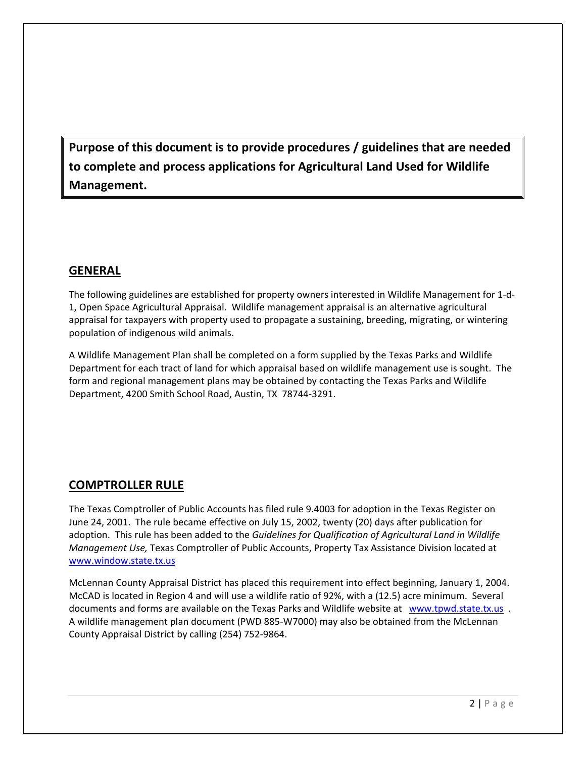**Purpose of this document is to provide procedures / guidelines that are needed to complete and process applications for Agricultural Land Used for Wildlife Management.**

## **GENERAL**

The following guidelines are established for property owners interested in Wildlife Management for 1‐d‐ 1, Open Space Agricultural Appraisal. Wildlife management appraisal is an alternative agricultural appraisal for taxpayers with property used to propagate a sustaining, breeding, migrating, or wintering population of indigenous wild animals.

A Wildlife Management Plan shall be completed on a form supplied by the Texas Parks and Wildlife Department for each tract of land for which appraisal based on wildlife management use is sought. The form and regional management plans may be obtained by contacting the Texas Parks and Wildlife Department, 4200 Smith School Road, Austin, TX 78744‐3291.

# **COMPTROLLER RULE**

The Texas Comptroller of Public Accounts has filed rule 9.4003 for adoption in the Texas Register on June 24, 2001. The rule became effective on July 15, 2002, twenty (20) days after publication for adoption. This rule has been added to the *Guidelines for Qualification of Agricultural Land in Wildlife Management Use,* Texas Comptroller of Public Accounts, Property Tax Assistance Division located at www.window.state.tx.us

McLennan County Appraisal District has placed this requirement into effect beginning, January 1, 2004. McCAD is located in Region 4 and will use a wildlife ratio of 92%, with a (12.5) acre minimum. Several documents and forms are available on the Texas Parks and Wildlife website at www.tpwd.state.tx.us . A wildlife management plan document (PWD 885‐W7000) may also be obtained from the McLennan County Appraisal District by calling (254) 752‐9864.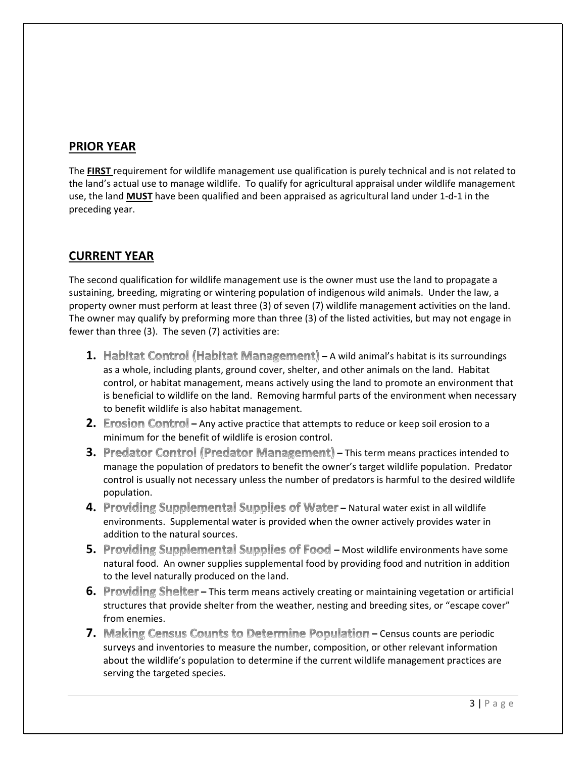# **PRIOR YEAR**

The **FIRST** requirement for wildlife management use qualification is purely technical and is not related to the land's actual use to manage wildlife. To qualify for agricultural appraisal under wildlife management use, the land **MUST** have been qualified and been appraised as agricultural land under 1‐d‐1 in the preceding year.

# **CURRENT YEAR**

The second qualification for wildlife management use is the owner must use the land to propagate a sustaining, breeding, migrating or wintering population of indigenous wild animals. Under the law, a property owner must perform at least three (3) of seven (7) wildlife management activities on the land. The owner may qualify by preforming more than three (3) of the listed activities, but may not engage in fewer than three (3). The seven (7) activities are:

- 1. Habitat Control (Habitat Management) A wild animal's habitat is its surroundings as a whole, including plants, ground cover, shelter, and other animals on the land. Habitat control, or habitat management, means actively using the land to promote an environment that is beneficial to wildlife on the land. Removing harmful parts of the environment when necessary to benefit wildlife is also habitat management.
- **2.** Erosion Control Any active practice that attempts to reduce or keep soil erosion to a minimum for the benefit of wildlife is erosion control.
- **3. Predator Control (Predator Management) This term means practices intended to** manage the population of predators to benefit the owner's target wildlife population. Predator control is usually not necessary unless the number of predators is harmful to the desired wildlife population.
- 4. Providing Supplemental Supplies of Water Natural water exist in all wildlife environments. Supplemental water is provided when the owner actively provides water in addition to the natural sources.
- **5.** Providing Supplemental Supplies of Food Most wildlife environments have some natural food. An owner supplies supplemental food by providing food and nutrition in addition to the level naturally produced on the land.
- **6.** Providing Shelter This term means actively creating or maintaining vegetation or artificial structures that provide shelter from the weather, nesting and breeding sites, or "escape cover" from enemies.
- **7.** Making Census Counts to Determine Population Census counts are periodic surveys and inventories to measure the number, composition, or other relevant information about the wildlife's population to determine if the current wildlife management practices are serving the targeted species.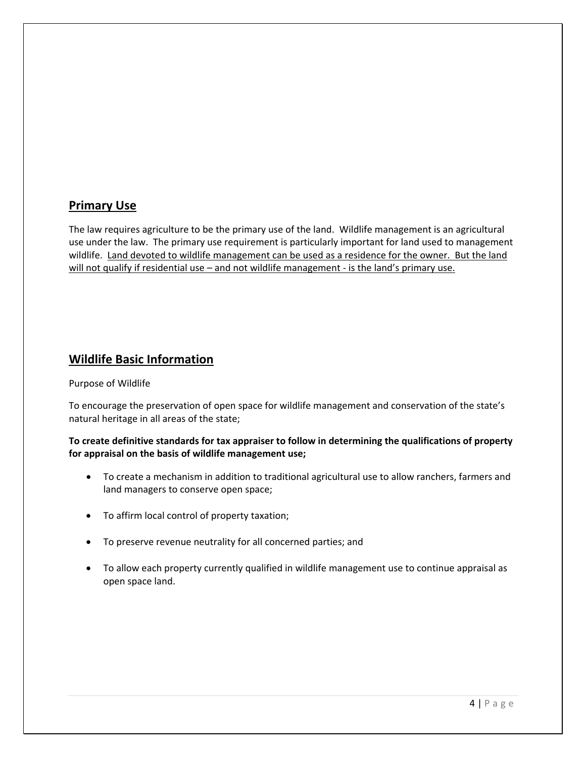# **Primary Use**

The law requires agriculture to be the primary use of the land. Wildlife management is an agricultural use under the law. The primary use requirement is particularly important for land used to management wildlife. Land devoted to wildlife management can be used as a residence for the owner. But the land will not qualify if residential use – and not wildlife management - is the land's primary use.

# **Wildlife Basic Information**

#### Purpose of Wildlife

To encourage the preservation of open space for wildlife management and conservation of the state's natural heritage in all areas of the state;

#### **To create definitive standards for tax appraiser to follow in determining the qualifications of property for appraisal on the basis of wildlife management use;**

- To create a mechanism in addition to traditional agricultural use to allow ranchers, farmers and land managers to conserve open space;
- To affirm local control of property taxation;
- To preserve revenue neutrality for all concerned parties; and
- To allow each property currently qualified in wildlife management use to continue appraisal as open space land.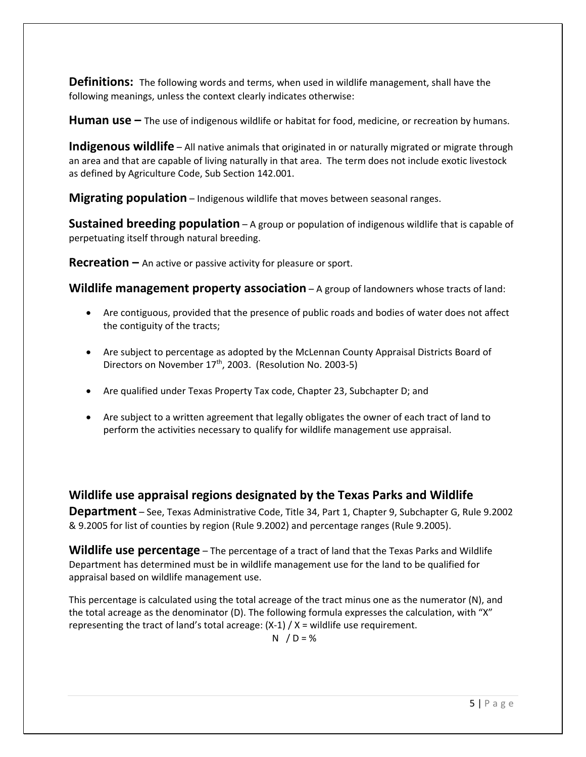**Definitions:** The following words and terms, when used in wildlife management, shall have the following meanings, unless the context clearly indicates otherwise:

**Human use –** The use of indigenous wildlife or habitat for food, medicine, or recreation by humans.

**Indigenous wildlife** – All native animals that originated in or naturally migrated or migrate through an area and that are capable of living naturally in that area. The term does not include exotic livestock as defined by Agriculture Code, Sub Section 142.001.

**Migrating population** – Indigenous wildlife that moves between seasonal ranges.

**Sustained breeding population** – A group or population of indigenous wildlife that is capable of perpetuating itself through natural breeding.

**Recreation –** An active or passive activity for pleasure or sport.

**Wildlife management property association** – A group of landowners whose tracts of land:

- Are contiguous, provided that the presence of public roads and bodies of water does not affect the contiguity of the tracts;
- Are subject to percentage as adopted by the McLennan County Appraisal Districts Board of Directors on November 17<sup>th</sup>, 2003. (Resolution No. 2003-5)
- Are qualified under Texas Property Tax code, Chapter 23, Subchapter D; and
- Are subject to a written agreement that legally obligates the owner of each tract of land to perform the activities necessary to qualify for wildlife management use appraisal.

# **Wildlife use appraisal regions designated by the Texas Parks and Wildlife**

**Department** – See, Texas Administrative Code, Title 34, Part 1, Chapter 9, Subchapter G, Rule 9.2002 & 9.2005 for list of counties by region (Rule 9.2002) and percentage ranges (Rule 9.2005).

**Wildlife use percentage** – The percentage of a tract of land that the Texas Parks and Wildlife Department has determined must be in wildlife management use for the land to be qualified for appraisal based on wildlife management use.

This percentage is calculated using the total acreage of the tract minus one as the numerator (N), and the total acreage as the denominator (D). The following formula expresses the calculation, with "X" representing the tract of land's total acreage:  $(X-1) / X =$  wildlife use requirement.

 $N / D = \%$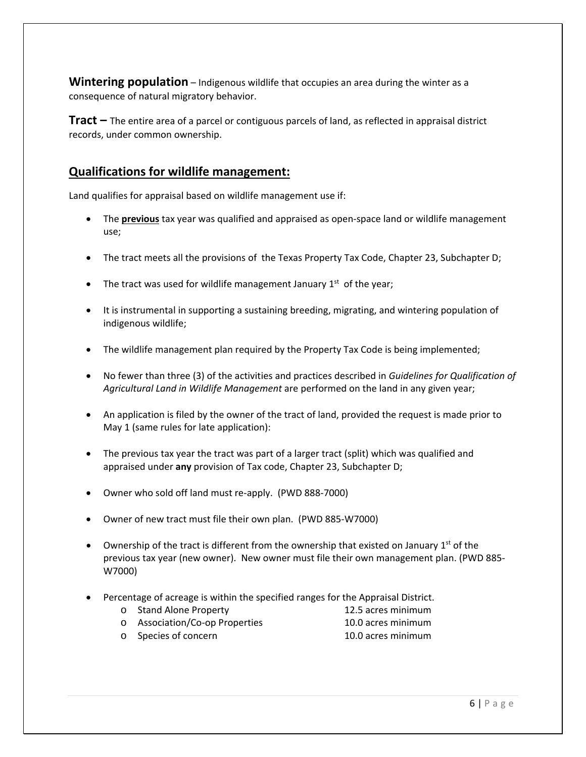**Wintering population** – Indigenous wildlife that occupies an area during the winter as a consequence of natural migratory behavior.

**Tract –** The entire area of a parcel or contiguous parcels of land, as reflected in appraisal district records, under common ownership.

# **Qualifications for wildlife management:**

Land qualifies for appraisal based on wildlife management use if:

- The **previous** tax year was qualified and appraised as open‐space land or wildlife management use;
- The tract meets all the provisions of the Texas Property Tax Code, Chapter 23, Subchapter D;
- The tract was used for wildlife management January  $1<sup>st</sup>$  of the year;
- It is instrumental in supporting a sustaining breeding, migrating, and wintering population of indigenous wildlife;
- The wildlife management plan required by the Property Tax Code is being implemented;
- No fewer than three (3) of the activities and practices described in *Guidelines for Qualification of Agricultural Land in Wildlife Management* are performed on the land in any given year;
- An application is filed by the owner of the tract of land, provided the request is made prior to May 1 (same rules for late application):
- The previous tax year the tract was part of a larger tract (split) which was qualified and appraised under **any** provision of Tax code, Chapter 23, Subchapter D;
- Owner who sold off land must re-apply. (PWD 888-7000)
- Owner of new tract must file their own plan. (PWD 885‐W7000)
- Ownership of the tract is different from the ownership that existed on January 1st of the previous tax year (new owner). New owner must file their own management plan. (PWD 885‐ W7000)
- Percentage of acreage is within the specified ranges for the Appraisal District.
	- o Stand Alone Property 12.5 acres minimum
		-
	- o Association/Co‐op Properties 10.0 acres minimum
		-
	- o Species of concern 10.0 acres minimum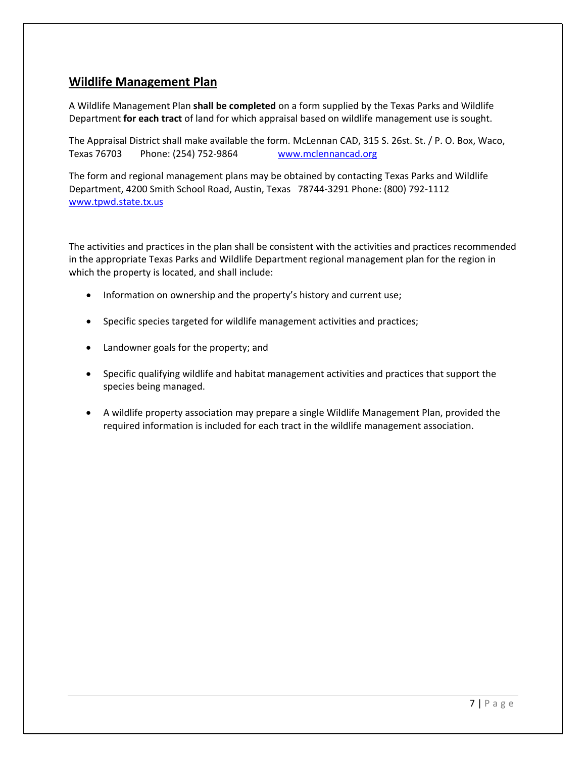## **Wildlife Management Plan**

A Wildlife Management Plan **shall be completed** on a form supplied by the Texas Parks and Wildlife Department **for each tract** of land for which appraisal based on wildlife management use is sought.

The Appraisal District shall make available the form. McLennan CAD, 315 S. 26st. St. / P. O. Box, Waco, Texas 76703 Phone: (254) 752‐9864 www.mclennancad.org

The form and regional management plans may be obtained by contacting Texas Parks and Wildlife Department, 4200 Smith School Road, Austin, Texas 78744‐3291 Phone: (800) 792‐1112 www.tpwd.state.tx.us

The activities and practices in the plan shall be consistent with the activities and practices recommended in the appropriate Texas Parks and Wildlife Department regional management plan for the region in which the property is located, and shall include:

- Information on ownership and the property's history and current use;
- Specific species targeted for wildlife management activities and practices;
- Landowner goals for the property; and
- Specific qualifying wildlife and habitat management activities and practices that support the species being managed.
- A wildlife property association may prepare a single Wildlife Management Plan, provided the required information is included for each tract in the wildlife management association.